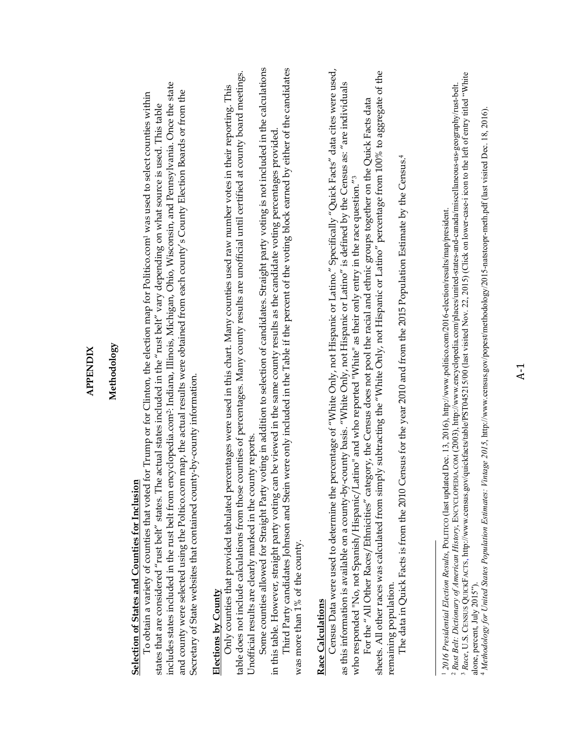## Methodology **Methodology**

## **Selection of States and Counties for Inclusion**  Selection of States and Counties for Inclusion

includes states included in the rust belt from encyclopedia.com<sup>2</sup>: Indiana, Illinois, Michigan, Ohio, Wisconsin, and Pennsylvania. Once the state includes states included in the rust belt from encyclopedia.com2: Indiana, Illinois, Michigan, Ohio, Wisconsin, and Pennsylvania. Once the state and county were selected using the Poltico.com map, the actual results were obtained from each county's County Election Boards or from the and county were selected using the Poltico.com map, the actual results were obtained from each county's County Election Boards or from the To obtain a variety of counties that voted for Trump or for Clinton, the election map for Politico.com1 was used to select counties within To obtain a variety of counties that voted for Trump or for Clinton, the election map for Politico.com<sup>1</sup> was used to select counties within states that are considered "rust belt" states. The actual states included in the "rust belt" vary depending on what source is used. This table states that are considered "rust belt" states. The actual states included in the "rust belt" vary depending on what source is used. This table Secretary of State websites that contained county-by-county information. Secretary of State websites that contained county-by-county information.

## **Elections by County**  Elections by County

table does not include calculations from those counties of percentages. Many county results are unofficial until certified at county board meetings. table does not include calculations from those counties of percentages. Many county results are unofficial until certified at county board meetings. Only counties that provided tabulated percentages were used in this chart. Many counties used raw number votes in their reporting. This Only counties that provided tabulated percentages were used in this chart. Many counties used raw number votes in their reporting. This Unofficial results are clearly marked in the county reports. Unofficial results are clearly marked in the county reports.

Some counties allowed for Straight Party voting in addition to selection of candidates. Straight party voting is not included in the calculations Some counties allowed for Straight Party voting in addition to selection of candidates. Straight party voting is not included in the calculations in this table. However, straight party voting can be viewed in the same county results as the candidate voting percentages provided. in this table. However, straight party voting can be viewed in the same county results as the candidate voting percentages provided

Third Party candidates Johnson and Stein were only included in the Table if the percent of the voting block earned by either of the candidates Third Party candidates Johnson and Stein were only included in the Table if the percent of the voting block earned by either of the candidates was more than 1% of the county. was more than 1% of the county.

## Race Calculations **Race Calculations**

Census Data were used to determine the percentage of "White Only, not Hispanic or Latino." Specifically "Quick Facts" data cites were used, Census Data were used to determine the percentage of "White Only, not Hispanic or Latino." Specifically "Quick Facts" data cites were used, as this information is available on a county-by-county basis. "White Only, not Hispanic or Latino" is defined by the Census as: "are individuals as this information is available on a county-by-county basis. "White Only, not Hispanic or Latino" is defined by the Census as: "are individuals who responded "No, not Spanish/Hispanic/Latino" and who reported "White" as their only entry in the race question."<sup>3</sup> who responded "No, not Spanish/Hispanic/Latino" and who reported "White" as their only entry in the race question."3

sheets. All other races was calculated from simply subtracting the "White Only, not Hispanic or Latino" percentage from 100% to aggregate of the sheets. All other races was calculated from simply subtracting the "White Only, not Hispanic or Latino" percentage from 100% to aggregate of the For the "All Other Races/Ethnicities" category, the Census does not pool the racial and ethnic groups together on the Quick Facts data For the "All Other Races/Ethnicities" category, the Census does not pool the racial and ethnic groups together on the Quick Facts data remaining population. remaining population.

The data in Quick Facts is from the 2010 Census for the year 2010 and from the 2015 Population Estimate by the Census.<sup>4</sup> The data in Quick Facts is from the 2010 Census for the year 2010 and from the 2015 Population Estimate by the Census.4

<sup>2016</sup> Presidential Election Results, POLITICO (last updated Dec. 13, 2016), http://www.politico.com/2016-election/results/map/president. *2016 Presidential Election Results*, POLITICO (last updated Dec. 13, 2016), http://www.politico.com/2016-election/results/map/president.

<sup>&</sup>lt;sup>3</sup> Race, U.S. CENSUS QUICKFACTS, http://www.census.gov/quickfacts/table/PST045215/00 (last visited Nov. 22, 2015) (Click on lower-case-i icon to the left of entry titled "White <sup>3</sup> Race, U.S. CENSUS QUICKFACTS, http://www.census.gov/quickfacts/table/PST045215/00 (last visited Nov. 22, 2015) (Click on lower-case-i icon to the left of entry titled "White *Rust Belt: Dictionary of American History*, ENCYCLOPEDIA.COM (2003), http://www.encyclopedia.com/places/united-states-and-canada/miscellaneous-us-geography/rust-belt. <sup>2</sup> Rust Belt: Dictionary of American History, ENCYCLOPEDIA.COM (2003), http://www.encyclopedia.com/places/united-states-and-canada/miscellaneous-us-geography/rust-belt. alone, percent, July 2015").

alone, percent, July 2015"). 4 Methodology for United States Population Estimates: Vintage 2015, http://www.census.gov/popest/methodology/2015-natstcopr-meth.pdf (last visited Dec. 18, 2016). *Methodology for United States Population Estimates: Vintage 2015*, http://www.census.gov/popest/methodology/2015-natstcopr-meth.pdf (last visited Dec. 18, 2016).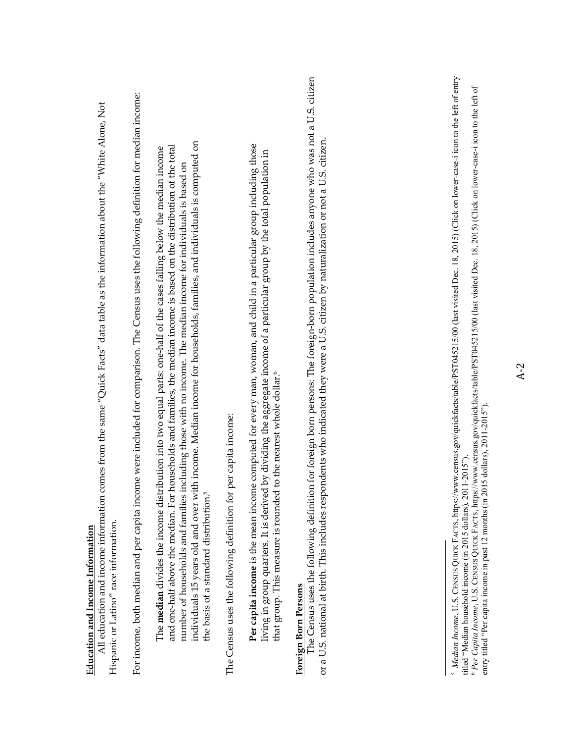| comes from the same "Quick Facts" data table as the information about the "White Alone, Not<br>All education and income information<br>Hispanic or Latino" race information.<br>Education and Income Information                                                                                                                                                                                                                                                                                                                                                 |
|------------------------------------------------------------------------------------------------------------------------------------------------------------------------------------------------------------------------------------------------------------------------------------------------------------------------------------------------------------------------------------------------------------------------------------------------------------------------------------------------------------------------------------------------------------------|
| For income, both median and per capita income were included for comparison. The Census uses the following definition for median income:                                                                                                                                                                                                                                                                                                                                                                                                                          |
| individuals 15 years old and over with income. Median income for households, families, and individuals is computed on<br>households and families, the median income is based on the distribution of the total<br>The <b>median</b> divides the income distribution into two equal parts: one-half of the cases falling below the median income<br>including those with no income. The median income for individuals is based on<br>and one-half above the median. For<br>number of households and families<br>the basis of a standard distribution. <sup>1</sup> |
| The Census uses the following definition for per capita income:                                                                                                                                                                                                                                                                                                                                                                                                                                                                                                  |
| Per capita income is the mean income computed for every man, woman, and child in a particular group including those<br>living in group quarters. It is derived by dividing the aggregate income of a particular group by the total population in<br>that group. This measure is rounded to the nearest whole dollar. <sup>6</sup>                                                                                                                                                                                                                                |
| The Census uses the following definition for foreign born persons: The foreign-born population includes anyone who was not a U.S. citizen<br>or a U.S. national at birth. This includes respondents who indicated they were a U.S. citizen by naturalization or not a U.S. citizen.<br>Foreign Born Persons                                                                                                                                                                                                                                                      |
|                                                                                                                                                                                                                                                                                                                                                                                                                                                                                                                                                                  |
| 5 Median Income, U.S. CENSUS QUICK FACTS, https://www.census.gov/quickfacts/table/PST045215/00 (last visited Dec. 18, 2015) (Click on lower-case-i icon to the left of entry<br><sup>6</sup> Per Capita Income, U.S. CENSUS QUICK FACTS, https://www.census.gov/quickfacts/table/PST045215/00 (last visited Dec. 18, 2015) (Click on lower-case-i icon to the left of<br>entry titled "Per capita income in past 12 months (in 2015 dollars), 2011-2015").<br>titled "Median household income (in 2015 dollars), 2011-2015"),                                    |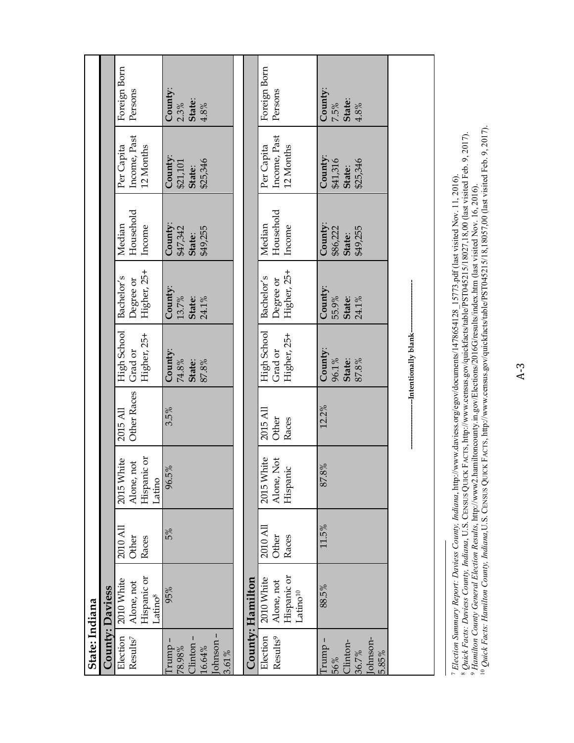| State: Indiana                                                  |                                                                   |                            |                                                   |                                |                                       |                                            |                                           |                                           |                                        |
|-----------------------------------------------------------------|-------------------------------------------------------------------|----------------------------|---------------------------------------------------|--------------------------------|---------------------------------------|--------------------------------------------|-------------------------------------------|-------------------------------------------|----------------------------------------|
|                                                                 | County: Daviess                                                   |                            |                                                   |                                |                                       |                                            |                                           |                                           |                                        |
| Election<br>$\mathrm{Results}^7$                                | Hispanic or<br>2010 White<br>Alone, not<br>Latino <sup>8</sup>    | 2010 All<br>Other<br>Races | Hispanic or<br>2015 White<br>Alone, not<br>Latino | <b>Other Races</b><br>2015 All | High School<br>Higher, 25+<br>Grad or | Higher, 25+<br>Bachelor's<br>Degree or     | Household<br>Median<br>Income             | Income, Past<br>Per Capita<br>12 Months   | Foreign Born<br>Persons                |
| lohnson-<br>Clinton-<br>Irump -<br>16.64%<br>78.98%<br>$3.61\%$ | 95%                                                               | 5%                         | 96.5%                                             | 3.5%                           | County:<br>74.8%<br>State:<br>87.8%   | County:<br>13.7%<br><b>State:</b><br>24.1% | County:<br>\$49,255<br>\$47,342<br>State: | County:<br>\$25,346<br>\$21,101<br>State: | County:<br>State:<br>2.3%<br>4.8%      |
|                                                                 |                                                                   |                            |                                                   |                                |                                       |                                            |                                           |                                           |                                        |
|                                                                 | County: Hamilton                                                  |                            |                                                   |                                |                                       |                                            |                                           |                                           |                                        |
| Election<br>Results <sup>9</sup>                                | Hispanic or<br>2010 White<br>Alone, not<br>$\mathsf{Latino^{10}}$ | 2010 AI<br>Other<br>Races  | 2015 White<br>Alone, Not<br>Hispanic              | 2015 All<br>Other<br>Races     | High School<br>Higher, 25+<br>Grad or | Higher, 25+<br>Bachelor's<br>Degree or     | Household<br>Median<br>Income             | Income, Past<br>Per Capita<br>12 Months   | Foreign Born<br>Persons                |
| lohnson-<br>Trump -<br>Clinton-<br>36.7%<br>5.85%<br>56%        | 88.5%                                                             | 11.5%                      | 87.8%                                             | 12.2%                          | County:<br>96.1%<br>State:<br>87.8%   | County:<br>55.9%<br>State:<br>24.1%        | County:<br>\$49,255<br>\$86,222<br>State: | County:<br>\$25,346<br>\$41,316<br>State: | County:<br>7.5%<br>State:<br>$4.8\,\%$ |
|                                                                 |                                                                   |                            |                                                   |                                | -Intentionally blank-                 |                                            |                                           |                                           |                                        |

 *Election Summary Report: Daviess County, Indiana*, http://www.daviess.org/egov/documents/1478654128\_15773.pdf (last visited Nov. 11, 2016). *Quick Facts: Daviess County, Indiana*, U.S. CENSUS QUICK FACTS, http://www.census.gov/quickfacts/table/PST045215/18027,18,00 (last visited Feb. 9, 2017).

- 80

 *Hamilton County General Election Results*, http://www2.hamiltoncounty.in.gov/Elections/2016G/results/index.htm (last visited Nov. 16, 2016). 10 *Quick Facts: Hamilton County, Indiana,*U.S. CENSUS QUICK FACTS, http://www.census.gov/quickfacts/table/PST045215/18,18057,00 (last visited Feb. 9, 2017).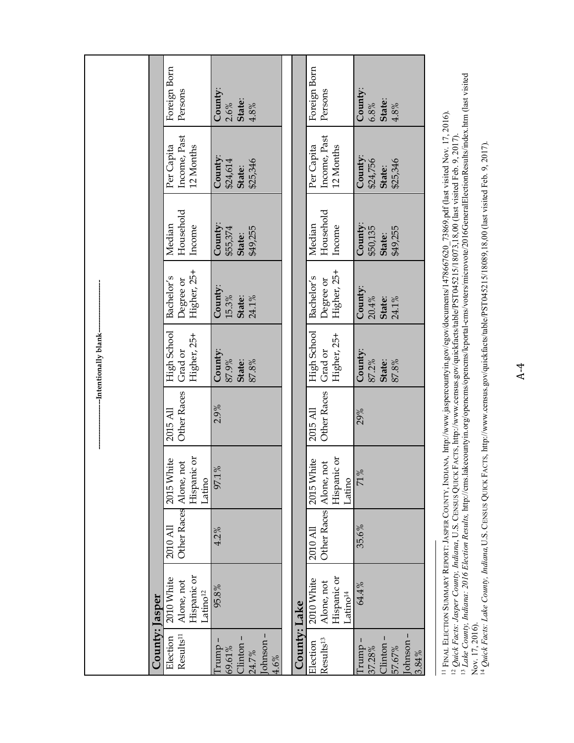|                                                              |                                                                 |                                    |                                     |                                | -Intentionally blank-                 |                                        |                                           |                                                                                                                                                                                                                                                     |                                        |
|--------------------------------------------------------------|-----------------------------------------------------------------|------------------------------------|-------------------------------------|--------------------------------|---------------------------------------|----------------------------------------|-------------------------------------------|-----------------------------------------------------------------------------------------------------------------------------------------------------------------------------------------------------------------------------------------------------|----------------------------------------|
| County: Jasper                                               |                                                                 |                                    |                                     |                                |                                       |                                        |                                           |                                                                                                                                                                                                                                                     |                                        |
| Results <sup>11</sup><br>Election                            | Hispanic or<br>2010 White<br>Alone, not<br>Latino <sup>12</sup> | Other Races Alone, not<br>2010 All | Hispanic or<br>2015 White<br>Latino | Other Races<br>2015 All        | High School<br>Higher, 25+<br>Grad or | Higher, 25+<br>Bachelor's<br>Degree or | Household<br>Median<br>Income             | Income, Past<br>Per Capita<br>12 Months                                                                                                                                                                                                             | Foreign Born<br>Persons                |
| lohnson-<br>Clinton-<br>- cumm<br>69.61%<br>24.7%<br>4.6%    | 95.8%                                                           | 4.2%                               | $\%$<br>97.1                        | 2.9%                           | County:<br>87.9%<br>87.8%<br>State:   | County:<br>15.3%<br>24.1%<br>State:    | County:<br>\$49,255<br>\$55,374<br>State: | County:<br>\$25,346<br>\$24,614<br>State:                                                                                                                                                                                                           | County:<br>State:<br>4.8%<br>2.6%      |
|                                                              |                                                                 |                                    |                                     |                                |                                       |                                        |                                           |                                                                                                                                                                                                                                                     |                                        |
| County: Lake                                                 |                                                                 |                                    |                                     |                                |                                       |                                        |                                           |                                                                                                                                                                                                                                                     |                                        |
| Results <sup>13</sup><br>Election                            | Hispanic or<br>2010 White<br>Alone, not<br>Latino <sup>14</sup> | Other Races Alone, not<br>2010 All | Hispanic or<br>2015 White<br>Latino | <b>Other Races</b><br>2015 All | High School<br>Higher, 25+<br>Grad or | Higher, 25+<br>Bachelor's<br>Degree or | Household<br>Median<br>Income             | Income, Past<br>Per Capita<br>12 Months                                                                                                                                                                                                             | Foreign Born<br>Persons                |
| lohnson-<br>- cumu-<br>Clinton-<br>57.67%<br>37.28%<br>3.84% | 64.4%                                                           | 35.6%                              | 71%                                 | 29%                            | County:<br>87.2%<br>State:<br>87.8%   | County:<br>20.4%<br>State:<br>24.1%    | County:<br>\$49,255<br>\$50,135<br>State: | County:<br>\$25,346<br>\$24,756<br>State:                                                                                                                                                                                                           | County:<br>State:<br>6.8%<br>$4.8\,\%$ |
|                                                              |                                                                 |                                    |                                     |                                |                                       |                                        |                                           | <sup>11</sup> FINAL ELECTION SUMMARY REPORT: JASPER COUNTY, INDIANA, http://www.jaspercountyin.gov/egov/documents/1478667620_73869.pdf (last visited Nov. 17, 2016).<br><sup>12</sup> Quick Facts: Jasper County, Indiana, U.S. CENSUS QUICK FACTS, |                                        |

<sup>12</sup> Quick Facts: Jasper County, Indiana, U.S. CENSUS QUICK FACTS, http://www.census.gov/quickfacts/table/PST045215/18073,18,00 (last visited Feb. 9, 2017).<br><sup>13</sup> Lake County, Indiana: 2016 Election Results, http://cms.lake 14 *Quick Facts: Lake County, Indiana,*U.S. CENSUS QUICK FACTS, http://www.census.gov/quickfacts/table/PST045215/18089,18,00 (last visited Feb. 9, 2017). Nov. 17, 2016).

<sup>13</sup> Lake County, Indiana: 2016 Election Results, http://cms.lakecountyin.org/opencms/opencms/lcportal-cms/voters/microvote/2016GeneralElectionResults/index.htm (last visited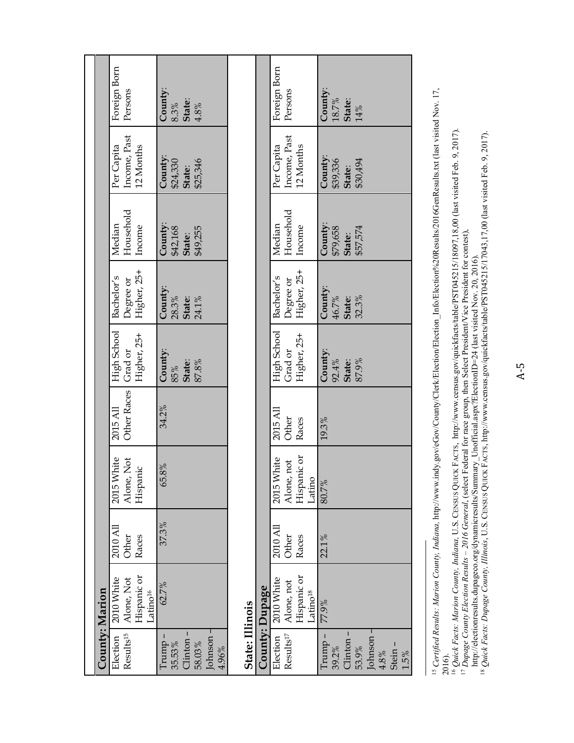|                | Foreign Born<br>Persons                                        | County:<br>State:<br>$4.8\%$<br>$8.3\%$                     |                        |                | Foreign Born<br>Persons                                        | County:<br>$18.7\%$<br><b>State:</b><br>$14\%$                                 |
|----------------|----------------------------------------------------------------|-------------------------------------------------------------|------------------------|----------------|----------------------------------------------------------------|--------------------------------------------------------------------------------|
|                | Income, Past<br>Per Capita<br>12 Months                        | County:<br><b>State:</b><br>\$25,346<br>\$24,330            |                        |                | Income, Past<br>Per Capita<br>12 Months                        | County:<br>\$39,336<br>\$30,494<br>State:                                      |
|                | Household<br>Median<br>Income                                  | County:<br>\$42,168<br>\$49,255<br>State:                   |                        |                | Household<br>Median<br>Income                                  | County:<br>\$57,574<br>\$79,658<br>State:                                      |
|                | Higher, 25+<br>Bachelor's<br>Degree or                         | County:<br>28.3%<br><b>State:</b><br>24.1%                  |                        |                | Higher, 25+<br>Bachelor's<br>Degree or                         | County:<br>46.7%<br>32.3%<br>State:                                            |
|                | High School<br>Higher, 25+<br>Grad or                          | County:<br>State:<br>$87.8\,\%$<br>$92.88$                  |                        |                | High School<br>Higher, 25+<br>Grad or                          | County:<br>92.4%<br>87.9%<br>State:                                            |
|                | <b>Other Races</b><br>2015 All                                 | 34.2%                                                       |                        |                | 2015 All<br>Other<br>Races                                     | 19.3%                                                                          |
|                | 2015 White<br>Alone, Not<br>Hispanic                           | 65.8%                                                       |                        |                | Hispanic or<br>2015 White<br>not<br>Alone,<br>Latino           | 80.7%                                                                          |
|                | 2010 All<br>Other<br>Races                                     | 37.3%                                                       |                        |                | 2010 All<br>Other<br>Races                                     | 22.1%                                                                          |
|                | Hispanic or<br>2010 White<br>Alone, Not<br>atino <sup>16</sup> | 62.7%                                                       |                        |                | Hispanic or<br>2010 White<br>Alone, not<br>atino <sup>18</sup> | 77.9%                                                                          |
| County: Marion | Results <sup>15</sup><br>Election                              | Johnson-<br>Clinton-<br>Trump-<br>35.53%<br>58.03%<br>4.96% | <b>State: Illinois</b> | County: Dupage | Results <sup>17</sup><br>Election                              | Johnson-<br>Clinton-<br>Trump -<br>Stein-<br>39.2%<br>53.9%<br>$4.8\%$<br>1.5% |

<sup>&</sup>lt;sup>15</sup> Certified Results: Marion County, Indiana, http://www.indy.gov/eGov/County/Clerk/Election/Election\_Info/Election%20Results/2016GenResults.txt (last visited Nov. 17, 15 *Certified Results: Marion County, Indiana,* http://www.indy.gov/eGov/County/Clerk/Election/Election\_Info/Election%20Results/2016GenResults.txt (last visited Nov. 17,

<sup>2016).&</sup>lt;br><sup>16</sup> Quick Facts: Marion County, Indiana, U.S. CENSUS QUICK FACTS, http://www.census.gov/quickfacts/table/PST045215/18097,18,00 (last visited Feb. 9, 2017).<br><sup>17</sup> Dupage County Election Results – 2016 General, (selec 16 *Quick Facts: Marion County, Indiana,* U.S. CENSUS QUICK FACTS, http://www.census.gov/quickfacts/table/PST045215/18097,18,00 (last visited Feb. 9, 2017).

<sup>17</sup> *Dupage County Election Results – 2016 General*, (select Federal for race group, then Select President/Vice President for contest),

http://electionresults.dupageco.org/dynamicresults/Summary\_Unofficial.aspx?ElectionID=24 (last visited Nov. 20, 2016).

<sup>18</sup> *Quick Facts: Dupage County, Illinois*, U.S. CENSUS QUICK FACTS, http://www.census.gov/quickfacts/table/PST045215/17043,17,00 (last visited Feb. 9, 2017).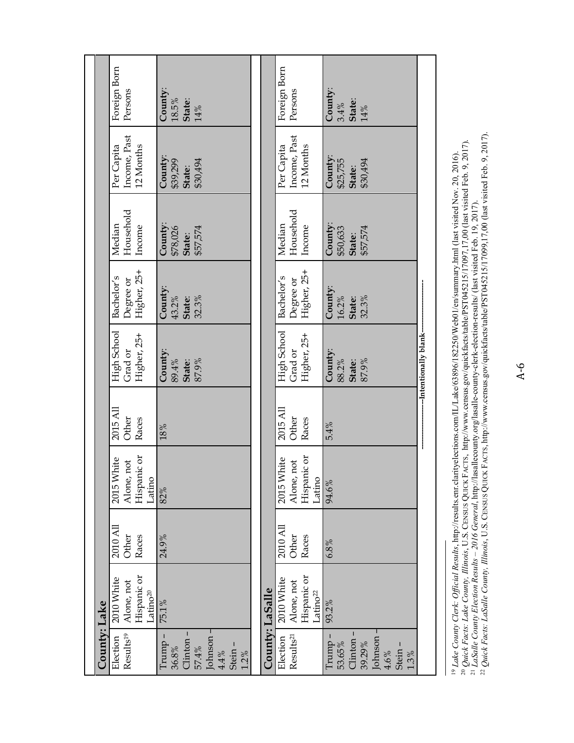|              | Foreign Born<br>Persons                                         | County:<br>$18.5\%$<br><b>State:</b><br>$14\%$                                    |                 | Foreign Born<br>Persons                                         | County:<br>$3.4\%$<br>State:<br>14%                                            |                         |
|--------------|-----------------------------------------------------------------|-----------------------------------------------------------------------------------|-----------------|-----------------------------------------------------------------|--------------------------------------------------------------------------------|-------------------------|
|              | Income, Past<br>Per Capita<br>12 Months                         | County:<br>\$30,494<br>\$39,299<br>State:                                         |                 | Income, Past<br>Per Capita<br>12 Months                         | County:<br>\$30,494<br>\$25,755<br>State:                                      |                         |
|              | Household<br>Median<br>Income                                   | County:<br>\$57,574<br>\$78,026<br>State:                                         |                 | Household<br>Median<br>Income                                   | County:<br>\$57,574<br>\$50,633<br>State:                                      |                         |
|              | Higher, 25+<br>Bachelor's<br>Degree or                          | County:<br>43.2%<br>32.3%<br>State:                                               |                 | Higher, 25+<br>Bachelor's<br>Degree or                          | County:<br>16.2%<br>32.3%<br>State:                                            |                         |
|              | High School<br>Higher, 25+<br>Grad or                           | County:<br>89.4%<br>87.9%<br>State:                                               |                 | High School<br>Higher, 25+<br>Grad or                           | County:<br>88.2%<br>87.9%<br>State:                                            | --Intentionally blank-- |
|              | 2015 All<br>Other<br>Races                                      | $18\%$                                                                            |                 | 2015 All<br>Other<br>Races                                      | 5.4%                                                                           |                         |
|              | Hispanic or<br>2015 White<br>. not<br>Alone,<br>Latino          | 82%                                                                               |                 | Hispanic or<br>2015 White<br>Alone, not<br>Latino               | 94.6%                                                                          |                         |
|              | 2010 All<br>Other<br>Races                                      | 24.9%                                                                             |                 | $2010$ All<br>Other<br>Races                                    | 6.8%                                                                           |                         |
|              | Hispanic or<br>2010 White<br>Alone, not<br>Latino <sup>20</sup> | 75.1%                                                                             |                 | Hispanic or<br>2010 White<br>Alone, not<br>Latino <sup>22</sup> | 93.2%                                                                          |                         |
| County: Lake | Results <sup>19</sup><br>Election                               | Johnson -<br>Clinton-<br>$Trump -$<br>Stein-<br>57.4%<br>36.8%<br>4.4%<br>$1.2\%$ | County: LaSalle | Results <sup>21</sup><br>Election                               | Johnson-<br>Clinton-<br>Trump<br>39.29%<br>53.65%<br>Stein-<br>4.6%<br>$1.3\%$ |                         |

<sup>19</sup> Lake County Clerk: Official Results, http://results.enr.clarityelections.com/IL/Lake/63896/182250/Web01/en/summary.html (last visited Nov. 20, 2016).<br><sup>20</sup> Quick Facts: Lake County, Illinois, U.S. CENSUS QUICK FACTS, 20 *Quick Facts: Lake County, Illinois*, U.S. CENSUS QUICK FACTS, http://www.census.gov/quickfacts/table/PST045215/17097,17,00 (last visited Feb. 9, 2017). 19 *Lake County Clerk: Official Results*, http://results.enr.clarityelections.com/IL/Lake/63896/182250/Web01/en/summary.html (last visited Nov. 20, 2016).

21 *LaSalle County Election Results – 2016 General*, http://lasallecounty.org/lasalle-county-clerk-election-results/ (last visited Feb. 19, 2017). 22 *Quick Facts: LaSalle County, Illinois*, U.S. CENSUS QUICK FACTS, http://www.census.gov/quickfacts/table/PST045215/17099,17,00 (last visited Feb. 9, 2017).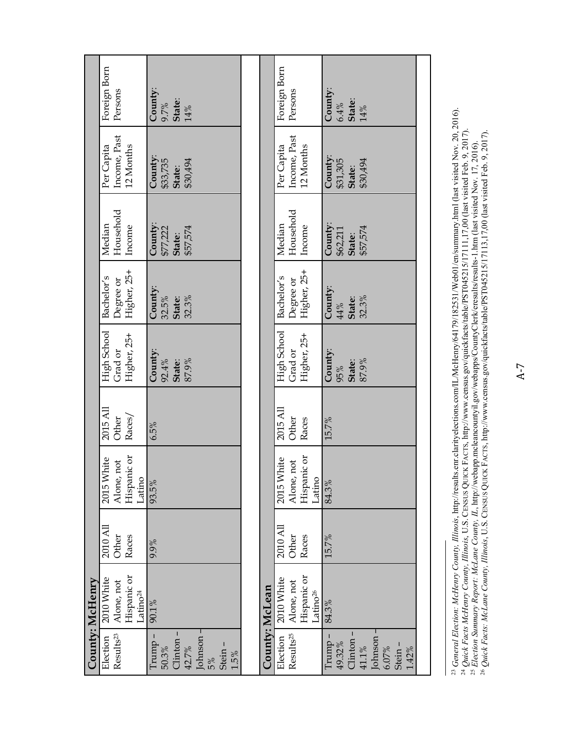|                                                                                  | County: McHenry                                                |                            |                                                   |                             |                                       |                                        |                                           |                                           |                                     |
|----------------------------------------------------------------------------------|----------------------------------------------------------------|----------------------------|---------------------------------------------------|-----------------------------|---------------------------------------|----------------------------------------|-------------------------------------------|-------------------------------------------|-------------------------------------|
| $\mbox{Results}^{23}$<br>Election                                                | Hispanic or<br>2010 White<br>Alone, not<br>atino <sup>24</sup> | 2010 All<br>Other<br>Races | Hispanic or<br>2015 White<br>Alone, not<br>Latino | 2015 All<br>Races/<br>Other | High School<br>Higher, 25+<br>Grad or | Higher, 25+<br>Bachelor's<br>Degree or | Household<br>Median<br>Income             | Income, Past<br>Per Capita<br>12 Months   | Foreign Born<br>Persons             |
| Johnson-<br>Clinton-<br>Trump -<br>Stein-<br>42.7%<br>50.3%<br>1.5%<br>5%        | 90.1%                                                          | 9.9%                       | 93.5%                                             | 6.5%                        | County:<br>92.4%<br>State:<br>87.9%   | County:<br>32.5%<br>32.3%<br>State:    | County:<br>\$57,574<br>\$77,222<br>State: | County:<br>\$30,494<br>\$33,735<br>State: | County:<br>$9.7\%$<br>State:<br>14% |
|                                                                                  |                                                                |                            |                                                   |                             |                                       |                                        |                                           |                                           |                                     |
| County: McLean                                                                   |                                                                |                            |                                                   |                             |                                       |                                        |                                           |                                           |                                     |
| Results <sup>25</sup><br>Election                                                | Hispanic or<br>2010 White<br>Alone, not<br>atino <sup>26</sup> | 2010 All<br>Other<br>Races | Hispanic or<br>2015 White<br>Alone, not<br>Latino | 2015 All<br>Other<br>Races  | High School<br>Grad or<br>Higher, 25+ | Higher, 25+<br>Bachelor's<br>Degree or | Household<br>Median<br>Income             | Income, Past<br>Per Capita<br>12 Months   | Foreign Born<br>Persons             |
| Johnson-<br>Clinton-<br>$Trump -$<br>49.32%<br>Stein-<br>41.1%<br>6.07%<br>1.42% | 84.3%                                                          | 15.7%                      | 84.3%                                             | 15.7%                       | County:<br>State:<br>87.9%<br>95%     | County:<br>32.3%<br>State:<br>44%      | County:<br>\$57,574<br>\$62,211<br>State: | County:<br>\$30,494<br>\$31,305<br>State: | County:<br>State:<br>$14\%$<br>6.4% |
|                                                                                  |                                                                |                            |                                                   |                             |                                       |                                        |                                           |                                           |                                     |

<sup>23</sup> General Election: McHenry County, Illinois, http://results.enr.clarityelections.com/L/McHenry/64179/182531/Web01/en/summary.html (last visited Nov. 20, 2016).<br><sup>24</sup> Quick Facts McHenry County, Illinois, U.S. CENSUS QUI 23 *General Election: McHenry County, Illinois*, http://results.enr.clarityelections.com/IL/McHenry/64179/182531/Web01/en/summary.html (last visited Nov. 20, 2016). 24 *Quick Facts McHenry County, Illinois*, U.S. CENSUS QUICK FACTS, http://www.census.gov/quickfacts/table/PST045215/17111,17,00 (last visited Feb. 9, 2017).

25 *Election Summary Report: McLane County, IL*, http://webapp.mcleancountyil.gov/webapps/CountyClerk/eresults/results-1.htm (last visited Nov. 17, 2016). 26 *Quick Facts: McLane County, Illinois*, U.S. CENSUS QUICK FACTS, http://www.census.gov/quickfacts/table/PST045215/17113,17,00 (last visited Feb. 9, 2017).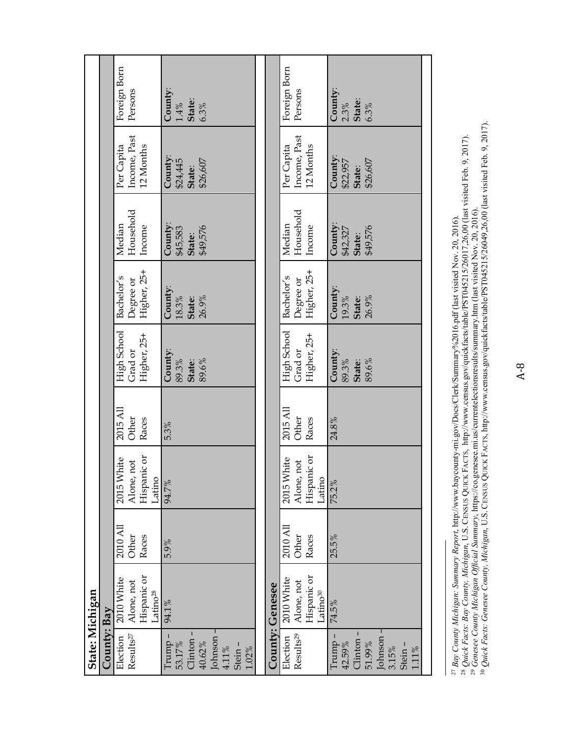|                 |             | Foreign Born<br>Persons                                         | County:<br>State:<br>$1.4\,\%$<br>6.3%                                                 |                 | Foreign Born<br>Persons                                         | County:<br>State:<br>$2.3\%$<br>6.3%                                            |
|-----------------|-------------|-----------------------------------------------------------------|----------------------------------------------------------------------------------------|-----------------|-----------------------------------------------------------------|---------------------------------------------------------------------------------|
|                 |             | Income, Past<br>Per Capita<br>12 Months                         | County:<br>\$24,445<br>\$26,607<br>State:                                              |                 | Income, Past<br>Per Capita<br>12 Months                         | County:<br>\$26,607<br>\$22,957<br>State:                                       |
|                 |             | Household<br>Median<br>Income                                   | County:<br>\$49,576<br>\$45,583<br>State:                                              |                 | Household<br>Median<br>Income                                   | County:<br>\$49,576<br>\$42,327<br>State:                                       |
|                 |             | Higher, 25+<br>Bachelor's<br>Degree or                          | County:<br>$18.3\%$<br>26.9%<br>State:                                                 |                 | Higher, 25+<br>Bachelor's<br>Degree or                          | County:<br>19.3%<br>26.9%<br>State:                                             |
|                 |             | High School<br>Higher, 25+<br>Grad or                           | County:<br>89.3%<br>89.6%<br>State:                                                    |                 | High School<br>Higher, 25+<br>Grad or                           | County:<br>89.3%<br>89.6%<br>State:                                             |
|                 |             | 2015 All<br>Other<br>Races                                      | 5.3%                                                                                   |                 | 2015 All<br>Other<br>Races                                      | 24.8%                                                                           |
|                 |             | Hispanic or<br>2015 White<br>Alone, not<br>Latino               | 94.7%                                                                                  |                 | Hispanic or<br>2015 White<br>Alone, not<br>Latino               | 75.2%                                                                           |
|                 |             | 2010 All<br>Races<br>Other                                      | 5.9%                                                                                   |                 | 2010 All<br>Races<br>Other                                      | 25.5%                                                                           |
|                 |             | Alone, not<br>Hispanic or<br>2010 White<br>Latino <sup>28</sup> | 94.1%                                                                                  | County: Genesee | Hispanic or<br>2010 White<br>Alone, not<br>Latino <sup>30</sup> | 74.5%                                                                           |
| State: Michigan | County: Bay | Results <sup>27</sup><br>Election                               | Johnson -<br>Clinton-<br>Trump –<br>53.17%<br>40.62%<br>Stein-<br>$4.11\%$<br>$1.02\%$ |                 | Results <sup>29</sup><br>Election                               | Johnson -<br>Clinton-<br>Trump.<br>51.99%<br>42.59%<br>Stein-<br>3.15%<br>1.11% |

27 *Bay County Michigan: Summary Report*, http://www.baycounty-mi.gov/Docs/Clerk/Summary%2016.pdf (last visited Nov. 20, 2016).

28 *Quick Facts: Bay County, Michigan*, U.S. CENSUS QUICK FACTS, http://www.census.gov/quickfacts/table/PST045215/26017,26,00 (last visited Feb. 9, 2017).

<sup>27</sup> Bay County Michigan: Summary Report, http://www.baycounty-mi.gov/Docs/Clerk/Summary%2016.pdf (last visited Nov. 20, 2016).<br><sup>28</sup> Quick Facts: Bay County, Michigan, U.S. CENSUS QUICK FACTS, http://www.census.gov/quickfa 30 *Quick Facts: Genesee County, Michigan*, U.S. CENSUS QUICK FACTS, http://www.census.gov/quickfacts/table/PST045215/26049,26,00 (last visited Feb. 9, 2017). 29 *Genesee County Michigan Official Summary*, https://co.genesee.mi.us/currentelectionsresults/summary.htm (last visited Nov. 20, 2016).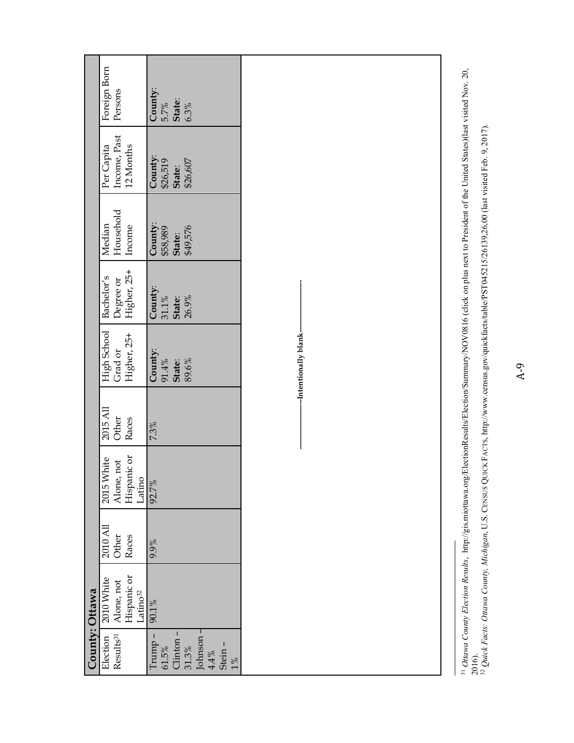|                                                                                      | County: Ottawa                      |          |                       |          |                                                              |                                        |                                           |                                           |                                      |
|--------------------------------------------------------------------------------------|-------------------------------------|----------|-----------------------|----------|--------------------------------------------------------------|----------------------------------------|-------------------------------------------|-------------------------------------------|--------------------------------------|
| Election                                                                             | 2010 White                          | 2010 All | 2015 White            | 2015 All | High School                                                  | Bachelor's                             | Median                                    | Per Capita                                | Foreign Born                         |
| Results <sup>31</sup>                                                                | Alone, not                          | Other    | Alone, not            | Other    | Grad or                                                      | Degree or                              | Household                                 | Income, Past                              | Persons                              |
|                                                                                      | Hispanic or<br>Latino <sup>32</sup> | Races    | Hispanic or<br>Latino | Races    | Higher, 25+                                                  | Higher, 25+                            | Income                                    | 12 Months                                 |                                      |
| Johnson-<br>Clinton-<br>$Trump -$<br>Stein-<br>$61.5\%$<br>31.3%<br>$4.4\%$<br>$1\%$ | 90.1%                               | 9.9%     | 92.7%                 | 7.3%     | -Intentionally blank-<br>County:<br>89.6%<br>91.4%<br>State: | County:<br>$31.1\%$<br>26.9%<br>State: | County:<br>\$58,989<br>\$49,576<br>State: | County:<br>\$26,607<br>\$26,519<br>State: | County:<br>State:<br>5.7%<br>$6.3\%$ |
|                                                                                      |                                     |          |                       |          |                                                              |                                        |                                           |                                           |                                      |

<sup>&</sup>lt;sup>31</sup> Ottawa County Election Results, http://gis.miottawa.org/ElectionResults/Election/Summary/NOV0816 (click on plus next to President of the United States)(last visited Nov. 20,<br>2016).<br><sup>32</sup> Quick Facts: Ottawa County, Mic 32 *Quick Facts: Ottawa County, Michigan*, U.S. CENSUS QUICK FACTS, http://www.census.gov/quickfacts/table/PST045215/26139,26,00 (last visited Feb. 9, 2017).

31 *Ottawa County Election Results*, http://gis.miottawa.org/ElectionResults/Election/Summary/NOV0816 (click on plus next to President of the United States)(last visited Nov. 20,

A-9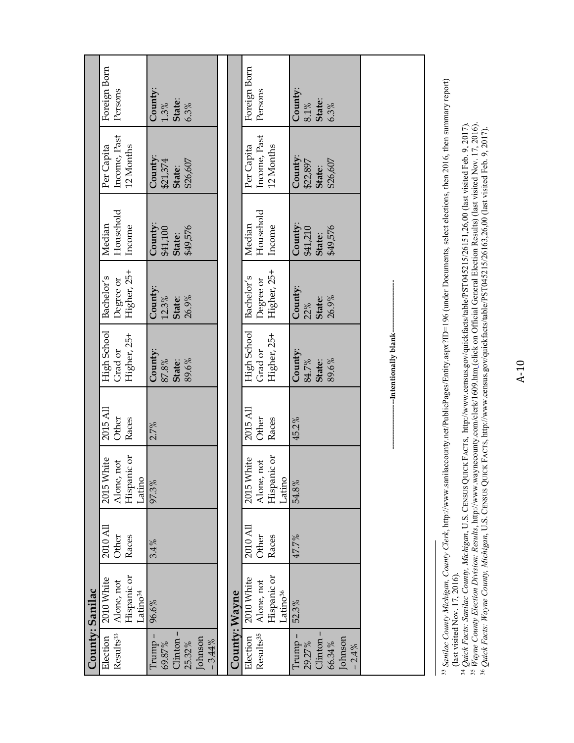| County: Sanilac       |                                     |          |                                            |          |                        |                  |                                                                                                                                                                                     |                     |                    |
|-----------------------|-------------------------------------|----------|--------------------------------------------|----------|------------------------|------------------|-------------------------------------------------------------------------------------------------------------------------------------------------------------------------------------|---------------------|--------------------|
| Election              | 2010 White                          | 2010 All | 2015 White                                 | 2015 All | High School            | Bachelor's       | Median                                                                                                                                                                              | Per Capita          | Foreign Born       |
| Results <sup>33</sup> | Alone, not                          | Other    | Alone, not                                 | Other    | Grad or                | Degree or        | Household                                                                                                                                                                           | Income, Past        | Persons            |
|                       | Hispanic or<br>Latino <sup>34</sup> | Races    | Hispanic or<br><b><i><u>Latino</u></i></b> | Races    | Higher, 25+            | Higher, 25+      | Income                                                                                                                                                                              | 12 Months           |                    |
| Trump -<br>69.87%     | 96.6%                               | 3.4%     | 97.3%                                      | 2.7%     | County:<br>87.8%       | County:<br>12.3% | County:<br>\$41,100                                                                                                                                                                 | County:<br>\$21,374 | County:<br>$1.3\%$ |
| Clinton<br>25.32%     |                                     |          |                                            |          | 89.6%<br>State:        | 26.9%<br>State:  | \$49,576<br>State:                                                                                                                                                                  | \$26,607<br>State:  | State:<br>6.3%     |
| Johnson<br>$-3.44%$   |                                     |          |                                            |          |                        |                  |                                                                                                                                                                                     |                     |                    |
|                       |                                     |          |                                            |          |                        |                  |                                                                                                                                                                                     |                     |                    |
| County: Wayne         |                                     |          |                                            |          |                        |                  |                                                                                                                                                                                     |                     |                    |
| Election              | 2010 White                          | 2010 All | 2015 White                                 | 2015 All | High School            | Bachelor's       | Median                                                                                                                                                                              | Per Capita          | Foreign Born       |
| Results <sup>35</sup> | Alone, not                          | Other    | Alone, not                                 | Other    | Grad or                | Degree or        | Household                                                                                                                                                                           | Income, Past        | Persons            |
|                       | Hispanic or<br>atino <sup>36</sup>  | Races    | Hispanic or<br><b><i><u>atino</u></i></b>  | Races    | Higher, 25+            | Higher, 25+      | Income                                                                                                                                                                              | 12 Months           |                    |
| $I$ rump –            | 52.3%                               | 47.7%    | 54.8%                                      | 45.2%    | County:                | County:          | County:                                                                                                                                                                             | County:             | County:            |
| 29.27%                |                                     |          |                                            |          | 84.7%                  | 22%              | \$41,210                                                                                                                                                                            | \$22,897            | $8.1\%$            |
| Clinton               |                                     |          |                                            |          | State:                 | State:           | State:                                                                                                                                                                              | State:              | State:             |
| 66.34%                |                                     |          |                                            |          | 89.6%                  | 26.9%            | \$49,576                                                                                                                                                                            | \$26,607            | 6.3%               |
| Johnson<br>$-2.4%$    |                                     |          |                                            |          |                        |                  |                                                                                                                                                                                     |                     |                    |
|                       |                                     |          |                                            |          |                        |                  |                                                                                                                                                                                     |                     |                    |
|                       |                                     |          |                                            |          |                        |                  |                                                                                                                                                                                     |                     |                    |
|                       |                                     |          |                                            |          | --Intentionally blank- |                  |                                                                                                                                                                                     |                     |                    |
|                       |                                     |          |                                            |          |                        |                  |                                                                                                                                                                                     |                     |                    |
|                       |                                     |          |                                            |          |                        |                  |                                                                                                                                                                                     |                     |                    |
|                       |                                     |          |                                            |          |                        |                  |                                                                                                                                                                                     |                     |                    |
|                       |                                     |          |                                            |          |                        |                  | <sup>3</sup> Sanilac County Michigan, County Clerk, http://www.sanilaccounty.net/PublicPages/Entity.aspx?ID=196 (under Documents, select elections, then 2016, then summary report) |                     |                    |

33 *Sanilac County Michigan, County Clerk*, http://www.sanilaccounty.net/PublicPages/Entity.aspx?ID=196 (under Documents, select elections, then 2016, then summary report) Ļ (last visited Nov. 17, 2016).

<sup>(</sup>last visited Nov. 17, 2016).<br><sup>34</sup> Quick Facts: Sanilac County, Michigan, U.S. CENSUS QUICK FACTS, http://www.census.gov/quickfacts/table/PST045215/26151,26,00 (last visited Feb. 9, 2017).<br><sup>35</sup> Wayne County Election Divis 34 *Quick Facts: Sanilac County, Michigan*, U.S. CENSUS QUICK FACTS, http://www.census.gov/quickfacts/table/PST045215/26151,26,00 (last visited Feb. 9, 2017).

<sup>35</sup> *Wayne County Election Division: Results*, http://www.waynecounty.com/clerk/1609.htm (click on Official General Election Results) (last visited Nov. 17, 2016).

<sup>36</sup> *Quick Facts: Wayne County, Michigan*, U.S. CENSUS QUICK FACTS, http://www.census.gov/quickfacts/table/PST045215/26163,26,00 (last visited Feb. 9, 2017).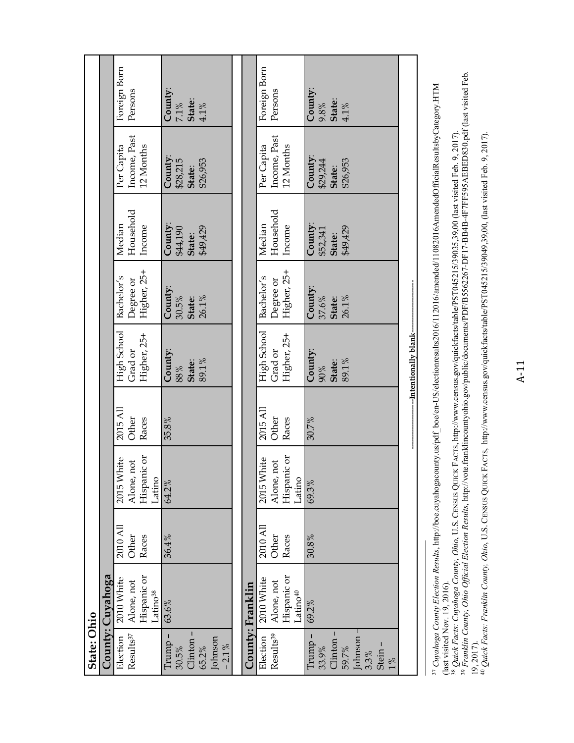| State: Ohio           |                                     |          |                       |          |                       |                 |                    |                    |                   |
|-----------------------|-------------------------------------|----------|-----------------------|----------|-----------------------|-----------------|--------------------|--------------------|-------------------|
|                       | County: Cuyahoga                    |          |                       |          |                       |                 |                    |                    |                   |
| Election              | 2010 White                          | 2010 All | 2015 White            | 2015 All | High School           | Bachelor's      | Median             | Per Capita         | Foreign Born      |
| Results <sup>37</sup> | Alone, not                          | Other    | Alone, not            | Other    | Grad or               | Degree or       | Household          | Income, Past       | Persons           |
|                       | Hispanic or<br>atino <sup>38</sup>  | Races    | Hispanic or<br>Latino | Races    | Higher, 25+           | Higher, 25+     | Income             | 12 Months          |                   |
| $Trump -$             | 63.6%                               | 36.4%    | 64.2%                 | 35.8%    | County:               | County:         | County:            | County:            | County:           |
| 30.5%                 |                                     |          |                       |          | $98\%$                | 30.5%           | \$44,190           | \$28,215           | $7.1\%$           |
| Clinton-<br>65.2%     |                                     |          |                       |          | 89.1%<br>State:       | 26.1%<br>State: | \$49,429<br>State: | \$26,953<br>State: | State:<br>$4.1\%$ |
| Johnson<br>$-2.1\%$   |                                     |          |                       |          |                       |                 |                    |                    |                   |
|                       |                                     |          |                       |          |                       |                 |                    |                    |                   |
|                       | County: Franklin                    |          |                       |          |                       |                 |                    |                    |                   |
| Election              | 2010 White                          | 2010 All | 2015 White            | 2015 All | High School           | Bachelor's      | Median             | Per Capita         | Foreign Born      |
| Results <sup>39</sup> | Alone, not                          | Other    | Alone, not            | Other    | Grad or               | Degree or       | Household          | Income, Past       | Persons           |
|                       | Hispanic or<br>Latino <sup>40</sup> | Races    | Hispanic or<br>Latino | Races    | Higher, 25+           | Higher, 25+     | Income             | 12 Months          |                   |
|                       | 69.2%                               | 30.8%    | 69.3%                 | 30.7%    | County:               | County:         | County:            | County:            | County:           |
| Trump<br>33.9%        |                                     |          |                       |          | $90\%$                | 37.6%           | \$52,341           | \$29,244           | 9.8%              |
| Clinton -             |                                     |          |                       |          | State:                | State:          | State:             | State:             | State:            |
| 59.7%                 |                                     |          |                       |          | 89.1%                 | 26.1%           | \$49,429           | \$26,953           | $4.1\%$           |
| Johnson -             |                                     |          |                       |          |                       |                 |                    |                    |                   |
| 3.3%                  |                                     |          |                       |          |                       |                 |                    |                    |                   |
| Stein-<br>$1\%$       |                                     |          |                       |          |                       |                 |                    |                    |                   |
|                       |                                     |          |                       |          |                       |                 |                    |                    |                   |
|                       |                                     |          |                       |          | -Intentionally blank- |                 |                    |                    |                   |
|                       |                                     |          |                       |          |                       |                 |                    |                    |                   |

37 *Cuyahoga County Election Results*, http://boe.cuyahogacounty.us/pdf\_boe/en-US/electionresults2016/112016/amended/11082016AmendedOfficialResultsbyCategory.HTM <sup>37</sup> Cuyahoga County Election Results, http://boe.cuyahogacounty.us/pdf\_boe/en-US/electionresults2016/112016/amended/11082016AmendedOfficialResultsbyCategory.HTM<br>(last visited Nov. 19, 2016). (last visited Nov. 19, 2016).

<sup>38</sup> Quick Facts: Cuyahoga County, Ohio, U.S. CENSUS QUICK FACTS, http://www.census.gov/quickfacts/table/PST045215/39035,39,00 (last visited Feb. 9, 2017).<br><sup>39</sup> Franklin County, Ohio Official Election Results, http://vote. 39 *Franklin County, Ohio Official Election Results*, http://vote.franklincountyohio.gov/public/documents/PDF/B5562267-DF17-BB4B-4F7FF595AEBED830.pdf (last visited Feb. 38 *Quick Facts: Cuyahoga County, Ohio*, U.S. CENSUS QUICK FACTS, http://www.census.gov/quickfacts/table/PST045215/39035,39,00 (last visited Feb. 9, 2017).

19, 2017).<br><sup>40</sup> Quick Facts: Franklin County, Ohio, U.S. CENSUS QUICK FACTS, http://www.census.gov/quickfacts/table/PST045215/39049,39,00, (last visited Feb. 9, 2017). 40 *Quick Facts: Franklin County, Ohio*, U.S. CENSUS QUICK FACTS, http://www.census.gov/quickfacts/table/PST045215/39049,39,00, (last visited Feb. 9, 2017).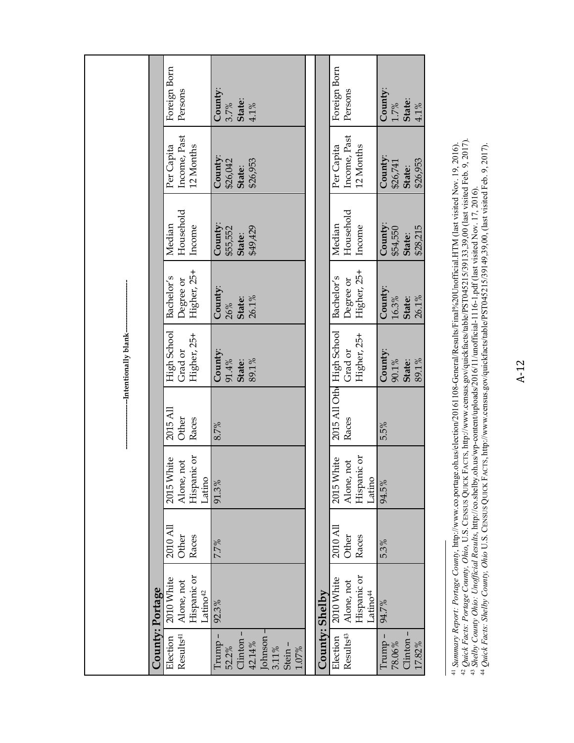|                        |                 | Foreign Born<br>Persons                                        | County:<br>State:<br>3.7%<br>4.1%                                                    |                | Foreign Born<br>Persons                                         | County:<br>State:<br>$1.7\%$<br>4.1%      |
|------------------------|-----------------|----------------------------------------------------------------|--------------------------------------------------------------------------------------|----------------|-----------------------------------------------------------------|-------------------------------------------|
|                        |                 | Income, Past<br>12 Months<br>Per Capita                        | County:<br>\$26,953<br>\$26,042<br>State:                                            |                | Income, Past<br>12 Months<br>Per Capita                         | County:<br>\$26,953<br>\$26,741<br>State: |
|                        |                 | Household<br>Median<br>Income                                  | County:<br>\$49,429<br>\$55,552<br>State:                                            |                | Household<br>Median<br>Income                                   | County:<br>\$28,215<br>\$54,550<br>State: |
|                        |                 | Higher, 25+<br>Bachelor's<br>Degree or                         | County:<br>State:<br>26.1%<br>26%                                                    |                | Higher, 25+<br>Bachelor's<br>Degree or                          | County:<br>$16.3\%$<br>State:<br>26.1%    |
| --Intentionally blank- |                 | High School<br>Higher, 25+<br>Grad or                          | County:<br>91.4%<br>State:<br>89.1%                                                  |                | 2015 All Oth High School<br>Higher, 25+<br>Grad or              | County:<br>90.1%<br>State:<br>89.1%       |
|                        |                 | 2015 All<br>Other<br>Races                                     | 8.7%                                                                                 |                | Races                                                           | 5.5%                                      |
|                        |                 | Hispanic or<br>2015 White<br>Alone, not<br>Latino              | 91.3%                                                                                |                | Hispanic or<br>2015 White<br>Alone, not<br>Latino               | 94.5%                                     |
|                        |                 | 2010 All<br>Other<br>Races                                     | 7.7%                                                                                 |                | 2010 All<br>Other<br>Races                                      | 5.3%                                      |
|                        |                 | Hispanic or<br>2010 White<br>Alone, not<br>atino <sup>42</sup> | 92.3%                                                                                |                | Hispanic or<br>2010 White<br>Alone, not<br>-atino <sup>44</sup> | 94.7%                                     |
|                        | County: Portage | Results <sup>41</sup><br>Election                              | Johnson -<br>Clinton-<br>Trump-<br>42.14%<br>Stein-<br>52.2%<br>$3.11\%$<br>$1.07\%$ | County: Shelby | Results <sup>43</sup><br>Election                               | Clinton-<br>Trump-<br>78.06%<br>17.82%    |

<sup>41</sup> Summary Report: Portage County, http://www.co.portage.oh.us/election/20161108-General/Results/Final%20Unofficial.HTM (last visited Nov. 19, 2016).<br><sup>42</sup> Quick Facts: Portage County, Ohio, U.S. CENSUS QUICK FACTS, http:// 42 *Quick Facts: Portage County, Ohio*, U.S. CENSUS QUICK FACTS, http://www.census.gov/quickfacts/table/PST045215/39133,39,00 (last visited Feb. 9, 2017). 41 *Summary Report: Portage County*, http://www.co.portage.oh.us/election/20161108-General/Results/Final%20Unofficial.HTM (last visited Nov. 19, 2016).

<sup>43</sup> *Shelby County Ohio: Unofficial Results*, http://co.shelby.oh.us/wp-content/uploads/2016/11/unofficial-1116-1.pdf (last visited Nov. 17, 2016).

<sup>44</sup> *Quick Facts: Shelby County, Ohio* U.S. CENSUS QUICK FACTS, http://www.census.gov/quickfacts/table/PST045215/39149,39,00, (last visited Feb. 9, 2017).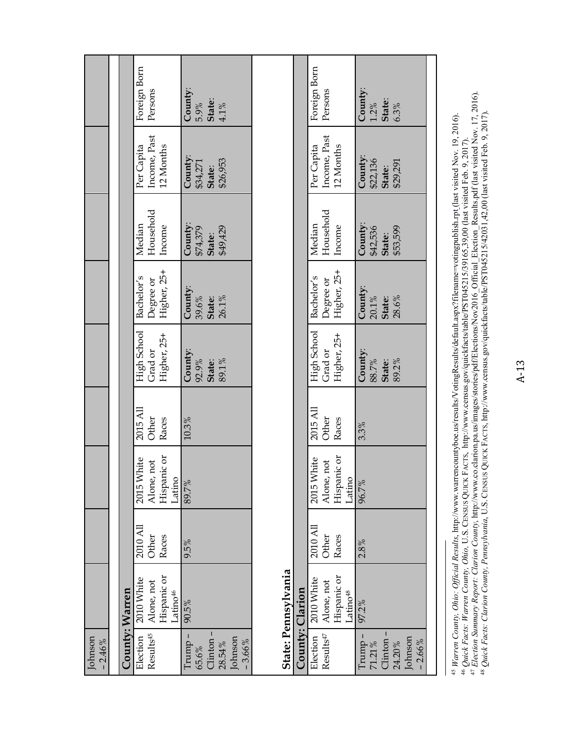| Johnson<br>$-2.46%$                                              |                                                                 |                            |                                                   |                            |                                       |                                        |                                                  |                                                  |                                      |
|------------------------------------------------------------------|-----------------------------------------------------------------|----------------------------|---------------------------------------------------|----------------------------|---------------------------------------|----------------------------------------|--------------------------------------------------|--------------------------------------------------|--------------------------------------|
|                                                                  |                                                                 |                            |                                                   |                            |                                       |                                        |                                                  |                                                  |                                      |
| County: Warren                                                   |                                                                 |                            |                                                   |                            |                                       |                                        |                                                  |                                                  |                                      |
| Results <sup>45</sup><br>Election                                | Hispanic or<br>2010 White<br>Alone, not<br>atino <sup>46</sup>  | 2010 All<br>Other<br>Races | Hispanic or<br>2015 White<br>Alone, not<br>Latino | 2015 All<br>Other<br>Races | High School<br>Grad or<br>Higher, 25+ | Higher, 25+<br>Bachelor's<br>Degree or | Household<br>Median<br>Income                    | Income, Past<br>12 Months<br>Per Capita          | Foreign Born<br>Persons              |
| Clinton-<br>Johnson<br>Trump-<br>$-3.66%$<br>28.54%<br>65.6%     | 90.5%                                                           | 9.5%                       | 89.7%                                             | 10.3%                      | County:<br>92.9%<br>89.1%<br>State:   | County:<br>39.6%<br>26.1%<br>State:    | County:<br><b>State:</b><br>\$49,429<br>\$74,379 | County:<br>\$26,953<br>\$34,271<br>State:        | County:<br>State:<br>5.9%<br>$4.1\%$ |
|                                                                  | State: Pennsylvania                                             |                            |                                                   |                            |                                       |                                        |                                                  |                                                  |                                      |
| County: Clarion                                                  |                                                                 |                            |                                                   |                            |                                       |                                        |                                                  |                                                  |                                      |
| Results <sup>47</sup><br>Election                                | Hispanic or<br>2010 White<br>Alone, not<br>.atino <sup>48</sup> | 2010 All<br>Other<br>Races | Hispanic or<br>2015 White<br>Alone, not<br>Latino | 2015 All<br>Other<br>Races | High School<br>Higher, 25+<br>Grad or | Higher, 25+<br>Bachelor's<br>Degree or | Household<br>Median<br>Income                    | Income, Past<br>Per Capita<br>12 Months          | Foreign Born<br>Persons              |
| - dumL<br>Clinton.<br>Johnson<br>$-2.66%$<br>$71.21\%$<br>24.20% | 97.2%                                                           | 2.8%                       | 96.7%                                             | 3.3%                       | County:<br>88.7%<br>State:<br>89.2%   | County:<br>$20.1\%$<br>State:<br>28.6% | County:<br>\$53,599<br>\$42,536<br>State:        | County:<br>\$22,136<br><b>State:</b><br>\$29,291 | County:<br>$1.2\%$<br>State:<br>6.3% |

45 Warren County, Ohio: Official Results, http://www.warrencountyboe.us/results/VotingResults/default.aspx?filename=votingpublish.rpt.(last visited Nov. 19, 2016).<br>46 Quick Facts: Warren County, Ohio, U.S. CENSUS QUICK FAC 45 *Warren County, Ohio: Official Results*, http://www.warrencountyboe.us/results/VotingResults/default.aspx?filename=votingpublish.rpt (last visited Nov. 19, 2016). 46 *Quick Facts: Warren County, Ohio,* U.S. CENSUS QUICK FACTS, http://www.census.gov/quickfacts/table/PST045215/39165,39,00 (last visited Feb. 9, 2017).

47 *Election Summary Report: Clarion County*, http://www.co.clarion.pa.us/images/stories/pdf/Elections/Nov2016\_Official\_Election\_Results.pdf (last visited Nov. 17, 2016). 48 *Quick Facts: Clarion County, Pennsylvania*, U.S. CENSUS QUICK FACTS, http://www.census.gov/quickfacts/table/PST045215/42031,42,00 (last visited Feb. 9, 2017).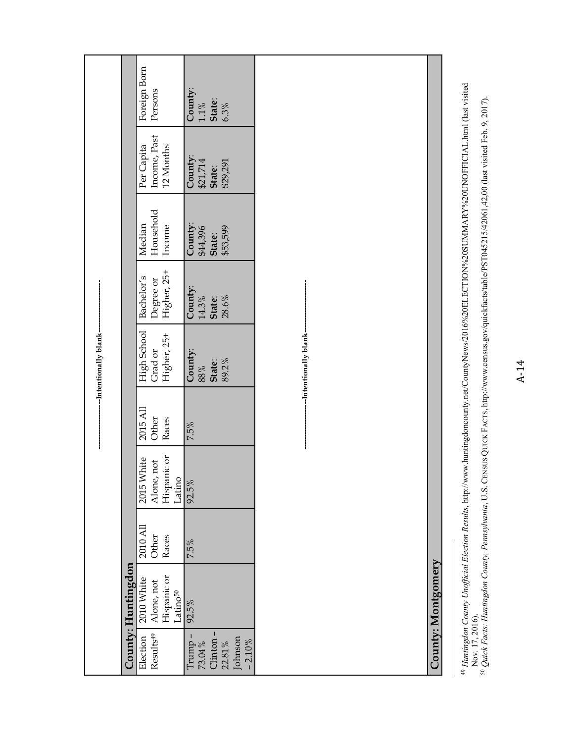|                                                                |                                                                 |                            |                                                   |                            | --Intentionally blank-                |                                        |                                           |                                           |                                         |
|----------------------------------------------------------------|-----------------------------------------------------------------|----------------------------|---------------------------------------------------|----------------------------|---------------------------------------|----------------------------------------|-------------------------------------------|-------------------------------------------|-----------------------------------------|
|                                                                | County: Huntingdon                                              |                            |                                                   |                            |                                       |                                        |                                           |                                           |                                         |
| Results <sup>49</sup><br>Election                              | Hispanic or<br>2010 White<br>Alone, not<br>Latino <sup>50</sup> | 2010 All<br>Races<br>Other | Hispanic or<br>2015 White<br>Alone, not<br>Latino | 2015 All<br>Other<br>Races | High School<br>Higher, 25+<br>Grad or | Higher, 25+<br>Bachelor's<br>Degree or | Household<br>Median<br>Income             | Income, Past<br>12 Months<br>Per Capita   | Foreign Born<br>Persons                 |
| Clinton-<br>Trump -<br>Johnson<br>$-2.10%$<br>73.04%<br>22.81% | 92.5%                                                           | 7.5%                       | 92.5%                                             | 7.5%                       | County:<br>89.2%<br>State:<br>$98\%$  | County:<br>14.3%<br>28.6%<br>State:    | County:<br>\$53,599<br>\$44,396<br>State: | County:<br>\$21,714<br>\$29,291<br>State: | County:<br>State:<br>$1.1\, \%$<br>6.3% |
|                                                                |                                                                 |                            |                                                   |                            | --Intentionally blank-                |                                        |                                           |                                           |                                         |
|                                                                | County: Montgomery                                              |                            |                                                   |                            |                                       |                                        |                                           |                                           |                                         |
|                                                                |                                                                 |                            |                                                   |                            |                                       |                                        |                                           |                                           |                                         |

<sup>49</sup> Huntingdon County Unofficial Election Results, http://www.huntingdoncounty.net/CountyNews/2016%20ELECTION%20SUMMARY%20UNOFFICIAL.html (last visited<br>Nov. 17, 2016).<br><sup>50</sup> Quick Facts: Huntingdon County, Pennsylvania, U.S. 49 *Huntingdon County Unofficial Election Results*, http://www.huntingdoncounty.net/CountyNews/2016%20ELECTION%20SUMMARY%20UNOFFICIAL.html (last visited 50 *Quick Facts: Huntingdon County, Pennsylvania*, U.S. CENSUS QUICK FACTS, http://www.census.gov/quickfacts/table/PST045215/42061,42,00 (last visited Feb. 9, 2017). Nov. 17, 2016).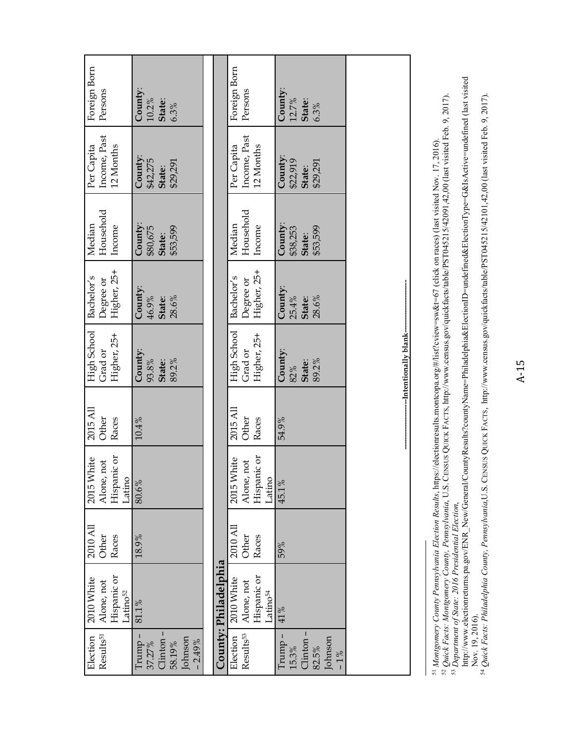| Foreign Born<br>Persons                                         | County:<br>10.2%<br>State:<br>6.3%                               |                      | Foreign Born<br>Persons                             | County:<br>12.7%<br>State:<br>6.3%                       |                       |                                                                                                                                                                                                                                                                                                                                                                                                                             |
|-----------------------------------------------------------------|------------------------------------------------------------------|----------------------|-----------------------------------------------------|----------------------------------------------------------|-----------------------|-----------------------------------------------------------------------------------------------------------------------------------------------------------------------------------------------------------------------------------------------------------------------------------------------------------------------------------------------------------------------------------------------------------------------------|
| Income, Past<br>Per Capita<br>12 Months                         | County:<br>\$42,275<br>\$29,291<br>State:                        |                      | Income, Past<br>Per Capita<br>12 Months             | County:<br>\$22,919<br>\$29,291<br>State:                |                       |                                                                                                                                                                                                                                                                                                                                                                                                                             |
| Household<br>Median<br>Income                                   | County:<br>\$53,599<br>\$80,675<br>State:                        |                      | Household<br>Median<br>Income                       | County:<br>\$53,599<br>\$38,253<br>State:                |                       | <sup>52</sup> Quick Facts: Montgomery County, Pennsylvania, U.S. CENSUS QUICK FACTS, http://www.census.gov/quickfacts/table/PST045215/42091,42,00 (last visited Feb. 9, 2017).<br><sup>53</sup> Department of State: 2016 Presidential Election,<br><sup>51</sup> Montgomery County Pennsylvania Election Results, https://electionresults.montcopa.org/#/list?cview=sw&t=67 (click on races) (last visited Nov. 17, 2016). |
| Higher, 25+<br>Bachelor's<br>Degree or                          | County:<br>28.6%<br>46.9%<br>State:                              |                      | Higher, 25+<br>Bachelor's<br>Degree or              | County:<br>25.4%<br>28.6%<br>State:                      |                       |                                                                                                                                                                                                                                                                                                                                                                                                                             |
| High School<br>Higher, 25+<br>Grad or                           | County:<br>89.2%<br>93.8%<br>State:                              |                      | High School<br>Higher, 25+<br>Grad or               | County:<br>89.2%<br>State:<br>82%                        | -Intentionally blank- |                                                                                                                                                                                                                                                                                                                                                                                                                             |
| 2015 All<br>Other<br>Races                                      | 10.4%                                                            |                      | 2015 All<br>Other<br>Races                          | 54.9%                                                    |                       |                                                                                                                                                                                                                                                                                                                                                                                                                             |
| Hispanic or<br>2015 White<br>Alone, not<br>atino                | 80.6%                                                            |                      | Hispanic or<br>2015 White<br>Alone, not<br>Latino   | 45.1%                                                    |                       |                                                                                                                                                                                                                                                                                                                                                                                                                             |
| 2010 All<br>Other<br>Races                                      | 18.9%                                                            |                      | 2010 All<br>Other<br>Races                          | 59%                                                      |                       |                                                                                                                                                                                                                                                                                                                                                                                                                             |
| Hispanic or<br>2010 White<br>Alone, not<br>Latino <sup>52</sup> | 81.1%                                                            | County: Philadelphia | Hispanic or<br>2010 White<br>Alone, not<br>Latino54 | 41%                                                      |                       |                                                                                                                                                                                                                                                                                                                                                                                                                             |
| Results <sup>51</sup><br>Election                               | 1<br>Johnson<br>Clinton<br>$-2.49%$<br>Trump<br>58.19%<br>37.27% |                      | Results <sup>53</sup><br>Election                   | Clinton-<br>Johnson<br>Trump<br>15.3%<br>82.5%<br>$-1\%$ |                       |                                                                                                                                                                                                                                                                                                                                                                                                                             |

http://www.electionreturns.pa.gov/ENR\_New/General/CountyResults?countyName=Philadelphia&ElectionID=undefined&ElectionType=G&IsActive=undefined (last visited<br>Nov. 19, 2016).<br>54 Quick Facts: Philadelphia County, Pennsylvania http://www.electionreturns.pa.gov/ENR\_New/General/CountyResults?countyName=Philadelphia&ElectionID=undefined&ElectionType=G&IsActive=undefined (last visited 54 *Quick Facts: Philadelphia County, Pennsylvania*,U.S. CENSUS QUICK FACTS, http://www.census.gov/quickfacts/table/PST045215/42101,42,00 (last visited Feb. 9, 2017). Nov. 19, 2016).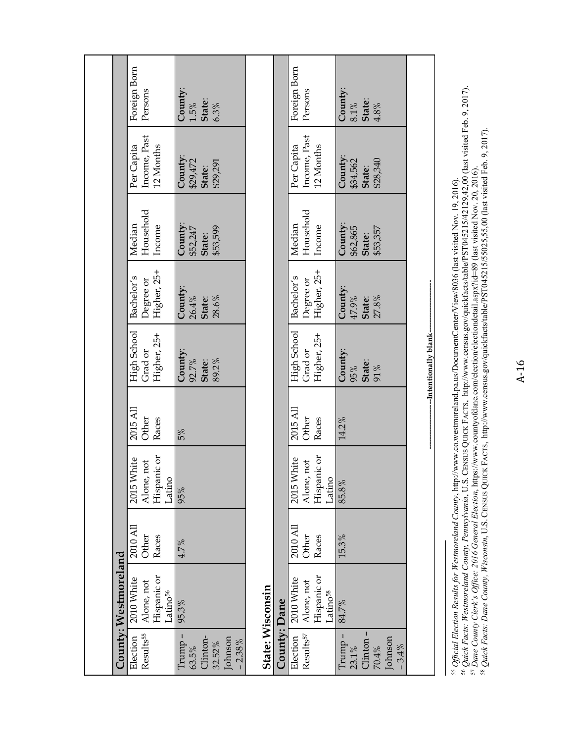|                      | Foreign Born<br>Persons<br>Income, Past<br>12 Months<br>Per Capita<br>Household<br>Median<br>Income<br>Higher, 25+<br>Bachelor's<br>Degree or<br>High School<br>Grad or<br>Higher, 25+<br>2015 All<br>Other<br>Races<br>Hispanic or<br>2015 White<br>Alone, not<br>Latino<br>2010 All<br>Other<br>Races | County:<br>$1.5\%$<br>State:<br>6.3%<br>County:<br>\$29,472<br>\$29,291<br>State:<br>County:<br>\$53,599<br>\$52,247<br>State:<br>County:<br>26.4%<br>28.6%<br>State:<br>County:<br>92.7%<br>State:<br>89.2%<br>5%<br>95%<br>4.7% |                  |              | Foreign Born<br>Persons<br>Income, Past<br>Per Capita<br>12 Months<br>Household<br>Median<br>Income<br>Higher, 25+<br>Bachelor's<br>Degree or<br>High School<br>Higher, 25+<br>Grad or<br>2015 All<br>Other<br>Races<br>Hispanic or<br>2015 White<br>Alone, not<br>Latino<br>2010 All<br>Other<br>Races | County:<br><b>State:</b><br>4.8%<br>$8.1\,\%$<br>County:<br>\$28,340<br>\$34,562<br>State:<br>County:<br>\$53,357<br>\$62,865<br>State:<br>County:<br>State:<br>27.8%<br>47.9%<br>County:<br>State:<br>91%<br>95%<br>14.2%<br>85.8%<br>15.3% | -Intentionally blank- |  |
|----------------------|---------------------------------------------------------------------------------------------------------------------------------------------------------------------------------------------------------------------------------------------------------------------------------------------------------|-----------------------------------------------------------------------------------------------------------------------------------------------------------------------------------------------------------------------------------|------------------|--------------|---------------------------------------------------------------------------------------------------------------------------------------------------------------------------------------------------------------------------------------------------------------------------------------------------------|----------------------------------------------------------------------------------------------------------------------------------------------------------------------------------------------------------------------------------------------|-----------------------|--|
| County: Westmoreland | Hispanic or<br>2010 White<br>Alone, not<br>Latino <sup>56</sup><br>Results <sup>55</sup><br>Election                                                                                                                                                                                                    | 95.3%<br>Trump -<br>Clinton-<br>Johnson<br>$-2.38%$<br>32.52%<br>63.5%                                                                                                                                                            | State: Wisconsin | County: Dane | Hispanic or<br>2010 White<br>Alone, not<br>.atino <sup>58</sup><br>Results <sup>57</sup><br>Election                                                                                                                                                                                                    | 84.7%<br>Clinton-<br>Trump –<br>Johnson<br>$-3.4%$<br>23.1%<br>70.4%                                                                                                                                                                         |                       |  |

55 *Official Election Results for Westmoreland County*, http://www.co.westmoreland.pa.us/DocumentCenter/View/8036 (last visited Nov. 19, 2016).

56 *Quick Facts: Westmoreland County, Pennsylvania*, U.S. CENSUS QUICK FACTS, http://www.census.gov/quickfacts/table/PST045215/42129,42,00 (last visited Feb. 9, 2017).

<sup>55</sup> Official Election Results for Westmoreland County, http://www.co.westmoreland.pa.us/DocumentCenter/View/8036 (last visited Nov. 19, 2016).<br><sup>56</sup> Quick Facts: Westmoreland County, Pennsylvania, U.S. CENSUS QUICK FACTS, 58 *Quick Facts: Dane County, Wisconsin*, U.S. CENSUS QUICK FACTS, http://www.census.gov/quickfacts/table/PST045215/55025,55,00 (last visited Feb. 9, 2017). 57 *Dane County Clerk's Office: 2016 General Election*, https://www.countyofdane.com/election/electiondetail.aspx?id=89 (last visited Nov. 20, 2016).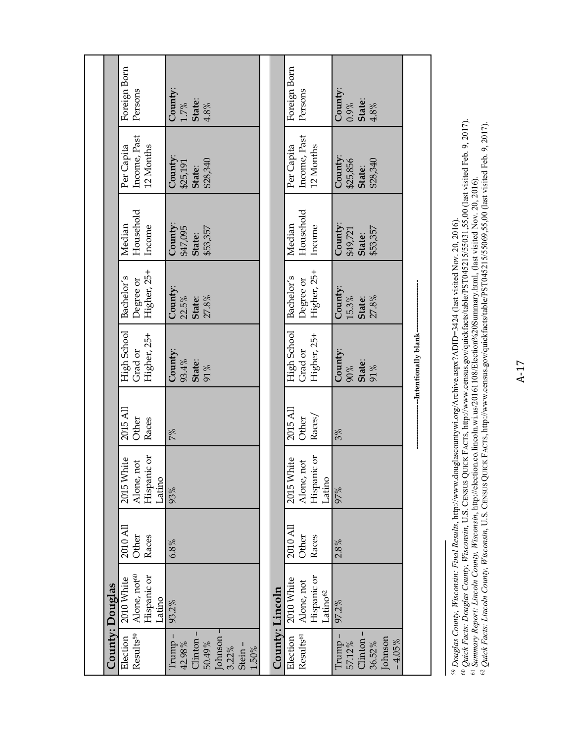|                 | Foreign Born<br>Persons                                        | County:<br>State:<br>$1.7\%$<br>$4.8\,\%$                                           |                 | Foreign Born<br>Persons                                         | County:<br>State:<br>0.9%<br>4.8%                             |                          |
|-----------------|----------------------------------------------------------------|-------------------------------------------------------------------------------------|-----------------|-----------------------------------------------------------------|---------------------------------------------------------------|--------------------------|
|                 | Income, Past<br>12 Months<br>Per Capita                        | County:<br>\$28,340<br>\$25,191<br>State:                                           |                 | Income, Past<br>Per Capita<br>12 Months                         | County:<br>\$25,856<br>\$28,340<br>State:                     |                          |
|                 | Household<br>Median<br>Income                                  | County:<br>\$53,357<br>\$47,095<br>State:                                           |                 | Household<br>Median<br>Income                                   | County:<br>\$53,357<br>\$49,721<br>State:                     |                          |
|                 | Higher, 25+<br>Bachelor's<br>Degree or                         | County:<br>22.5%<br>27.8%<br>State:                                                 |                 | Higher, 25+<br>Bachelor's<br>Degree or                          | County:<br>15.3%<br>27.8%<br>State:                           |                          |
|                 | High School<br>Higher, 25+<br>Grad or                          | County:<br>93.4%<br>State:<br>91%                                                   |                 | High School<br>Higher, 25+<br>Grad or                           | County:<br>State:<br>90%<br>91%                               | --Intentionally blank--- |
|                 | 2015 All<br>Other<br>Races                                     | 7%                                                                                  |                 | 2015 All<br>Races/<br>Other                                     | 3%                                                            |                          |
|                 | Hispanic or<br>2015 White<br>Alone, not<br>Latino              | 93%                                                                                 |                 | Hispanic or<br>2015 White<br>Alone, not<br>Latino               | 97%                                                           |                          |
|                 | 2010 All<br>Other<br>Races                                     | 6.8%                                                                                |                 | 2010 All<br>Races<br>Other                                      | 2.8%                                                          |                          |
|                 | Alone, not <sup>60</sup><br>Hispanic or<br>2010 White<br>atino | 93.2%                                                                               |                 | Hispanic or<br>2010 White<br>Alone, not<br>Latino <sup>62</sup> | 97.2%                                                         |                          |
| County: Douglas | Results <sup>59</sup><br>Election                              | Johnson -<br>Clinton-<br>Trump -<br>42.98%<br>50.49%<br>Stein-<br>3.22%<br>$1.50\%$ | County: Lincoln | Results <sup>61</sup><br>Election                               | Clinton-<br>Trump-<br>Johnson<br>$-4.05%$<br>36.52%<br>57.12% |                          |

<sup>59</sup> Douglas County, Wisconsin: Final Results, http://www.douglascountywi.org/Archive.aspx?ADID=3424 (last visited Nov. 20, 2016).<br><sup>60</sup> Quick Facts: Douglas County, Wisconsin, U.S. CENSUS QUICK FACTS, http://www.census.gov 59 *Douglas County, Wisconsin: Final Results*, http://www.douglascountywi.org/Archive.aspx?ADID=3424 (last visited Nov. 20, 2016).

60 *Quick Facts: Douglas County, Wisconsin*, U.S. CENSUS QUICK FACTS, http://www.census.gov/quickfacts/table/PST045215/55031,55,00 (last visited Feb. 9, 2017).

61 *Summary Report: Lincoln County, Wisconsin*, http://election.co.lincoln.wi.us/20161108/Election%20Summary.html, (last visited Nov. 20, 2016). 62 *Quick Facts: Lincoln County, Wisconsin*, U.S. CENSUS QUICK FACTS, http://www.census.gov/quickfacts/table/PST045215/55069,55,00 (last visited Feb. 9, 2017).